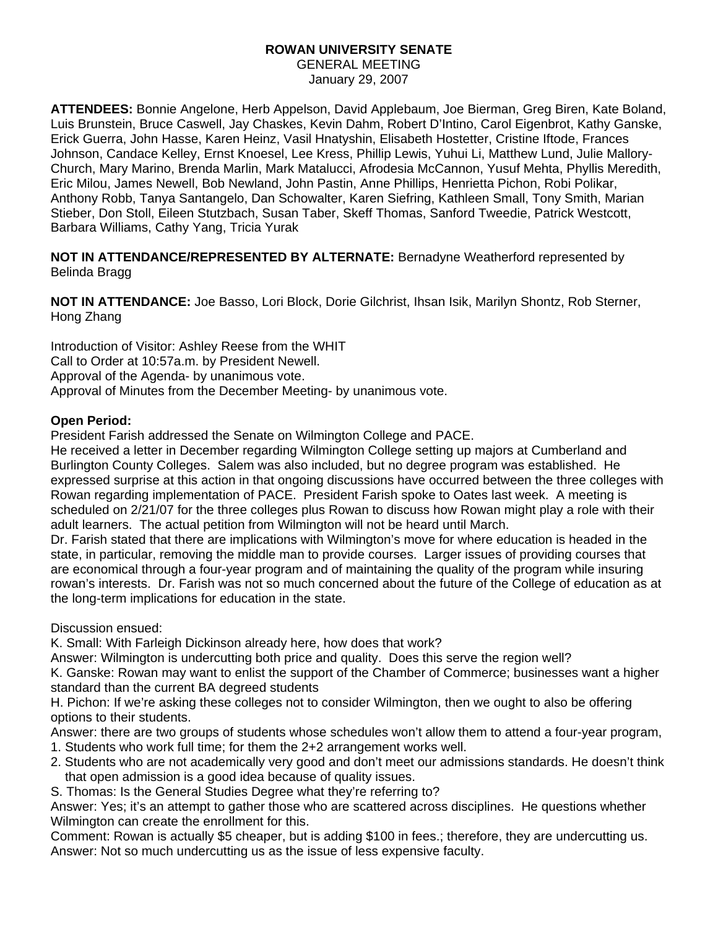#### **ROWAN UNIVERSITY SENATE**  GENERAL MEETING

January 29, 2007

**ATTENDEES:** Bonnie Angelone, Herb Appelson, David Applebaum, Joe Bierman, Greg Biren, Kate Boland, Luis Brunstein, Bruce Caswell, Jay Chaskes, Kevin Dahm, Robert D'Intino, Carol Eigenbrot, Kathy Ganske, Erick Guerra, John Hasse, Karen Heinz, Vasil Hnatyshin, Elisabeth Hostetter, Cristine Iftode, Frances Johnson, Candace Kelley, Ernst Knoesel, Lee Kress, Phillip Lewis, Yuhui Li, Matthew Lund, Julie Mallory-Church, Mary Marino, Brenda Marlin, Mark Matalucci, Afrodesia McCannon, Yusuf Mehta, Phyllis Meredith, Eric Milou, James Newell, Bob Newland, John Pastin, Anne Phillips, Henrietta Pichon, Robi Polikar, Anthony Robb, Tanya Santangelo, Dan Schowalter, Karen Siefring, Kathleen Small, Tony Smith, Marian Stieber, Don Stoll, Eileen Stutzbach, Susan Taber, Skeff Thomas, Sanford Tweedie, Patrick Westcott, Barbara Williams, Cathy Yang, Tricia Yurak

**NOT IN ATTENDANCE/REPRESENTED BY ALTERNATE:** Bernadyne Weatherford represented by Belinda Bragg

**NOT IN ATTENDANCE:** Joe Basso, Lori Block, Dorie Gilchrist, Ihsan Isik, Marilyn Shontz, Rob Sterner, Hong Zhang

Introduction of Visitor: Ashley Reese from the WHIT Call to Order at 10:57a.m. by President Newell. Approval of the Agenda- by unanimous vote. Approval of Minutes from the December Meeting- by unanimous vote.

# **Open Period:**

President Farish addressed the Senate on Wilmington College and PACE.

He received a letter in December regarding Wilmington College setting up majors at Cumberland and Burlington County Colleges. Salem was also included, but no degree program was established. He expressed surprise at this action in that ongoing discussions have occurred between the three colleges with Rowan regarding implementation of PACE. President Farish spoke to Oates last week. A meeting is scheduled on 2/21/07 for the three colleges plus Rowan to discuss how Rowan might play a role with their adult learners. The actual petition from Wilmington will not be heard until March.

Dr. Farish stated that there are implications with Wilmington's move for where education is headed in the state, in particular, removing the middle man to provide courses. Larger issues of providing courses that are economical through a four-year program and of maintaining the quality of the program while insuring rowan's interests. Dr. Farish was not so much concerned about the future of the College of education as at the long-term implications for education in the state.

Discussion ensued:

K. Small: With Farleigh Dickinson already here, how does that work?

Answer: Wilmington is undercutting both price and quality. Does this serve the region well?

K. Ganske: Rowan may want to enlist the support of the Chamber of Commerce; businesses want a higher standard than the current BA degreed students

H. Pichon: If we're asking these colleges not to consider Wilmington, then we ought to also be offering options to their students.

Answer: there are two groups of students whose schedules won't allow them to attend a four-year program,

1. Students who work full time; for them the 2+2 arrangement works well.

2. Students who are not academically very good and don't meet our admissions standards. He doesn't think that open admission is a good idea because of quality issues.

S. Thomas: Is the General Studies Degree what they're referring to?

Answer: Yes; it's an attempt to gather those who are scattered across disciplines. He questions whether Wilmington can create the enrollment for this.

Comment: Rowan is actually \$5 cheaper, but is adding \$100 in fees.; therefore, they are undercutting us. Answer: Not so much undercutting us as the issue of less expensive faculty.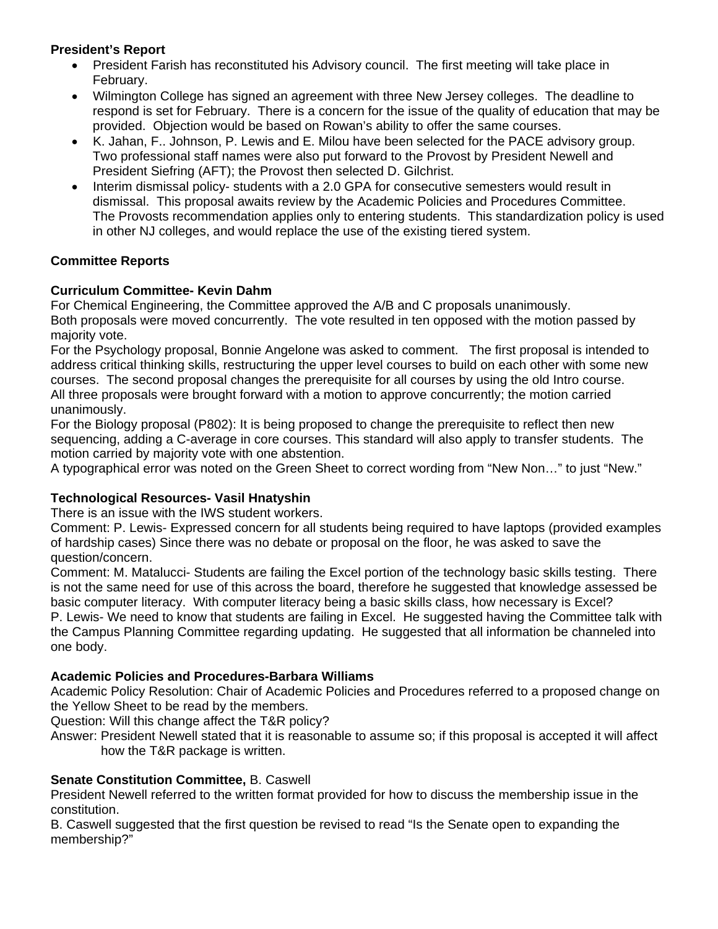# **President's Report**

- President Farish has reconstituted his Advisory council. The first meeting will take place in February.
- Wilmington College has signed an agreement with three New Jersey colleges. The deadline to respond is set for February. There is a concern for the issue of the quality of education that may be provided. Objection would be based on Rowan's ability to offer the same courses.
- K. Jahan, F.. Johnson, P. Lewis and E. Milou have been selected for the PACE advisory group. Two professional staff names were also put forward to the Provost by President Newell and President Siefring (AFT); the Provost then selected D. Gilchrist.
- Interim dismissal policy- students with a 2.0 GPA for consecutive semesters would result in dismissal. This proposal awaits review by the Academic Policies and Procedures Committee. The Provosts recommendation applies only to entering students. This standardization policy is used in other NJ colleges, and would replace the use of the existing tiered system.

# **Committee Reports**

# **Curriculum Committee- Kevin Dahm**

For Chemical Engineering, the Committee approved the A/B and C proposals unanimously. Both proposals were moved concurrently. The vote resulted in ten opposed with the motion passed by majority vote.

For the Psychology proposal, Bonnie Angelone was asked to comment. The first proposal is intended to address critical thinking skills, restructuring the upper level courses to build on each other with some new courses. The second proposal changes the prerequisite for all courses by using the old Intro course. All three proposals were brought forward with a motion to approve concurrently; the motion carried unanimously.

For the Biology proposal (P802): It is being proposed to change the prerequisite to reflect then new sequencing, adding a C-average in core courses. This standard will also apply to transfer students. The motion carried by majority vote with one abstention.

A typographical error was noted on the Green Sheet to correct wording from "New Non…" to just "New."

### **Technological Resources- Vasil Hnatyshin**

There is an issue with the IWS student workers.

Comment: P. Lewis- Expressed concern for all students being required to have laptops (provided examples of hardship cases) Since there was no debate or proposal on the floor, he was asked to save the question/concern.

Comment: M. Matalucci- Students are failing the Excel portion of the technology basic skills testing. There is not the same need for use of this across the board, therefore he suggested that knowledge assessed be basic computer literacy. With computer literacy being a basic skills class, how necessary is Excel? P. Lewis- We need to know that students are failing in Excel. He suggested having the Committee talk with the Campus Planning Committee regarding updating. He suggested that all information be channeled into one body.

### **Academic Policies and Procedures-Barbara Williams**

Academic Policy Resolution: Chair of Academic Policies and Procedures referred to a proposed change on the Yellow Sheet to be read by the members.

Question: Will this change affect the T&R policy?

Answer: President Newell stated that it is reasonable to assume so; if this proposal is accepted it will affect how the T&R package is written.

### **Senate Constitution Committee,** B. Caswell

President Newell referred to the written format provided for how to discuss the membership issue in the constitution.

B. Caswell suggested that the first question be revised to read "Is the Senate open to expanding the membership?"